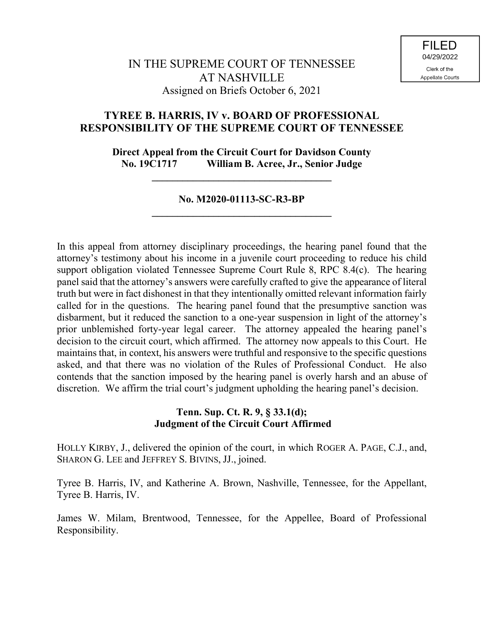# **TYREE B. HARRIS, IV v. BOARD OF PROFESSIONAL RESPONSIBILITY OF THE SUPREME COURT OF TENNESSEE**

**Direct Appeal from the Circuit Court for Davidson County No. 19C1717 William B. Acree, Jr., Senior Judge**

## **No. M2020-01113-SC-R3-BP \_\_\_\_\_\_\_\_\_\_\_\_\_\_\_\_\_\_\_\_\_\_\_\_\_\_\_\_\_\_\_\_\_\_\_**

**\_\_\_\_\_\_\_\_\_\_\_\_\_\_\_\_\_\_\_\_\_\_\_\_\_\_\_\_\_\_\_\_\_\_\_**

In this appeal from attorney disciplinary proceedings, the hearing panel found that the attorney's testimony about his income in a juvenile court proceeding to reduce his child support obligation violated Tennessee Supreme Court Rule 8, RPC 8.4(c). The hearing panel said that the attorney's answers were carefully crafted to give the appearance of literal truth but were in fact dishonest in that they intentionally omitted relevant information fairly called for in the questions. The hearing panel found that the presumptive sanction was disbarment, but it reduced the sanction to a one-year suspension in light of the attorney's prior unblemished forty-year legal career. The attorney appealed the hearing panel's decision to the circuit court, which affirmed. The attorney now appeals to this Court. He maintains that, in context, his answers were truthful and responsive to the specific questions asked, and that there was no violation of the Rules of Professional Conduct. He also contends that the sanction imposed by the hearing panel is overly harsh and an abuse of discretion. We affirm the trial court's judgment upholding the hearing panel's decision.

## **Tenn. Sup. Ct. R. 9, § 33.1(d); Judgment of the Circuit Court Affirmed**

HOLLY KIRBY, J., delivered the opinion of the court, in which ROGER A. PAGE, C.J., and, SHARON G. LEE and JEFFREY S. BIVINS, JJ., joined.

Tyree B. Harris, IV, and Katherine A. Brown, Nashville, Tennessee, for the Appellant, Tyree B. Harris, IV.

James W. Milam, Brentwood, Tennessee, for the Appellee, Board of Professional Responsibility.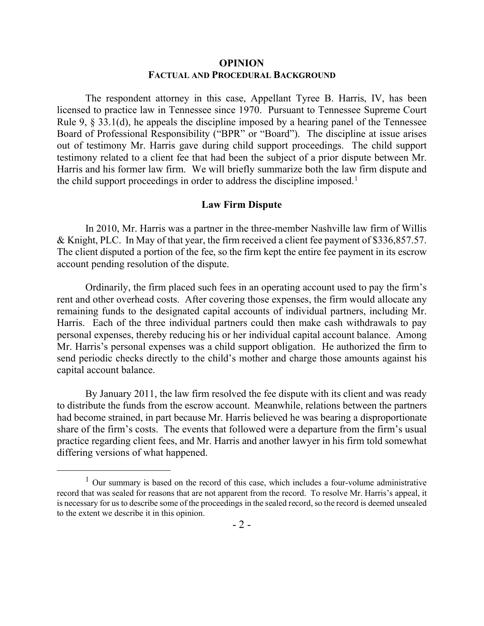### **OPINION FACTUAL AND PROCEDURAL BACKGROUND**

The respondent attorney in this case, Appellant Tyree B. Harris, IV, has been licensed to practice law in Tennessee since 1970. Pursuant to Tennessee Supreme Court Rule 9, § 33.1(d), he appeals the discipline imposed by a hearing panel of the Tennessee Board of Professional Responsibility ("BPR" or "Board"). The discipline at issue arises out of testimony Mr. Harris gave during child support proceedings. The child support testimony related to a client fee that had been the subject of a prior dispute between Mr. Harris and his former law firm. We will briefly summarize both the law firm dispute and the child support proceedings in order to address the discipline imposed.<sup>1</sup>

### **Law Firm Dispute**

In 2010, Mr. Harris was a partner in the three-member Nashville law firm of Willis & Knight, PLC. In May of that year, the firm received a client fee payment of \$336,857.57. The client disputed a portion of the fee, so the firm kept the entire fee payment in its escrow account pending resolution of the dispute.

Ordinarily, the firm placed such fees in an operating account used to pay the firm's rent and other overhead costs. After covering those expenses, the firm would allocate any remaining funds to the designated capital accounts of individual partners, including Mr. Harris. Each of the three individual partners could then make cash withdrawals to pay personal expenses, thereby reducing his or her individual capital account balance. Among Mr. Harris's personal expenses was a child support obligation. He authorized the firm to send periodic checks directly to the child's mother and charge those amounts against his capital account balance.

By January 2011, the law firm resolved the fee dispute with its client and was ready to distribute the funds from the escrow account. Meanwhile, relations between the partners had become strained, in part because Mr. Harris believed he was bearing a disproportionate share of the firm's costs. The events that followed were a departure from the firm's usual practice regarding client fees, and Mr. Harris and another lawyer in his firm told somewhat differing versions of what happened.

 $1$  Our summary is based on the record of this case, which includes a four-volume administrative record that was sealed for reasons that are not apparent from the record. To resolve Mr. Harris's appeal, it is necessary for us to describe some of the proceedings in the sealed record, so the record is deemed unsealed to the extent we describe it in this opinion.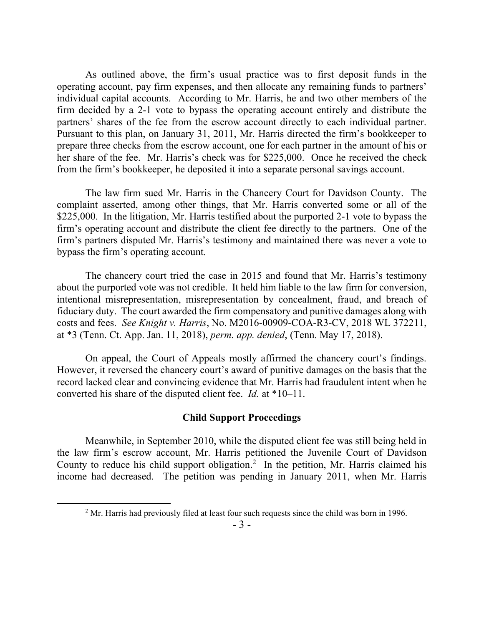As outlined above, the firm's usual practice was to first deposit funds in the operating account, pay firm expenses, and then allocate any remaining funds to partners' individual capital accounts. According to Mr. Harris, he and two other members of the firm decided by a 2-1 vote to bypass the operating account entirely and distribute the partners' shares of the fee from the escrow account directly to each individual partner. Pursuant to this plan, on January 31, 2011, Mr. Harris directed the firm's bookkeeper to prepare three checks from the escrow account, one for each partner in the amount of his or her share of the fee. Mr. Harris's check was for \$225,000. Once he received the check from the firm's bookkeeper, he deposited it into a separate personal savings account.

The law firm sued Mr. Harris in the Chancery Court for Davidson County. The complaint asserted, among other things, that Mr. Harris converted some or all of the \$225,000. In the litigation, Mr. Harris testified about the purported 2-1 vote to bypass the firm's operating account and distribute the client fee directly to the partners. One of the firm's partners disputed Mr. Harris's testimony and maintained there was never a vote to bypass the firm's operating account.

The chancery court tried the case in 2015 and found that Mr. Harris's testimony about the purported vote was not credible. It held him liable to the law firm for conversion, intentional misrepresentation, misrepresentation by concealment, fraud, and breach of fiduciary duty. The court awarded the firm compensatory and punitive damages along with costs and fees. *See Knight v. Harris*, No. M2016-00909-COA-R3-CV, 2018 WL 372211, at \*3 (Tenn. Ct. App. Jan. 11, 2018), *perm. app. denied*, (Tenn. May 17, 2018).

On appeal, the Court of Appeals mostly affirmed the chancery court's findings. However, it reversed the chancery court's award of punitive damages on the basis that the record lacked clear and convincing evidence that Mr. Harris had fraudulent intent when he converted his share of the disputed client fee. *Id.* at \*10–11.

### **Child Support Proceedings**

Meanwhile, in September 2010, while the disputed client fee was still being held in the law firm's escrow account, Mr. Harris petitioned the Juvenile Court of Davidson County to reduce his child support obligation. 2 In the petition, Mr. Harris claimed his income had decreased. The petition was pending in January 2011, when Mr. Harris

 $2$  Mr. Harris had previously filed at least four such requests since the child was born in 1996.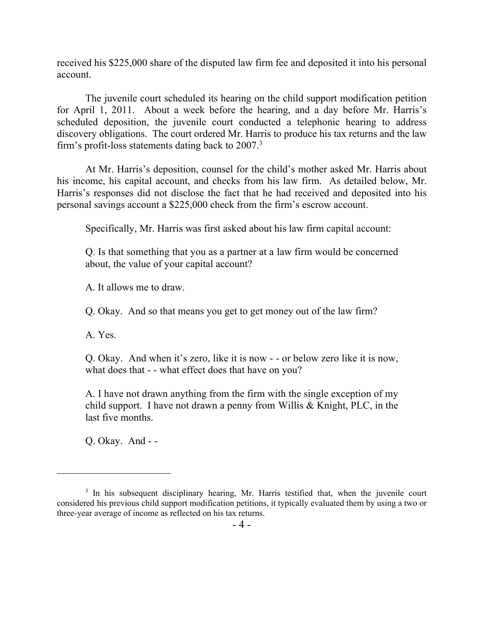received his \$225,000 share of the disputed law firm fee and deposited it into his personal account.

The juvenile court scheduled its hearing on the child support modification petition for April 1, 2011. About a week before the hearing, and a day before Mr. Harris's scheduled deposition, the juvenile court conducted a telephonic hearing to address discovery obligations. The court ordered Mr. Harris to produce his tax returns and the law firm's profit-loss statements dating back to 2007.<sup>3</sup>

At Mr. Harris's deposition, counsel for the child's mother asked Mr. Harris about his income, his capital account, and checks from his law firm. As detailed below, Mr. Harris's responses did not disclose the fact that he had received and deposited into his personal savings account a \$225,000 check from the firm's escrow account.

Specifically, Mr. Harris was first asked about his law firm capital account:

Q. Is that something that you as a partner at a law firm would be concerned about, the value of your capital account?

A. It allows me to draw.

Q. Okay. And so that means you get to get money out of the law firm?

A. Yes.

 $\overline{a}$ 

Q. Okay. And when it's zero, like it is now - - or below zero like it is now, what does that - - what effect does that have on you?

A. I have not drawn anything from the firm with the single exception of my child support. I have not drawn a penny from Willis & Knight, PLC, in the last five months.

Q. Okay. And - -

 $3$  In his subsequent disciplinary hearing, Mr. Harris testified that, when the juvenile court considered his previous child support modification petitions, it typically evaluated them by using a two or three-year average of income as reflected on his tax returns.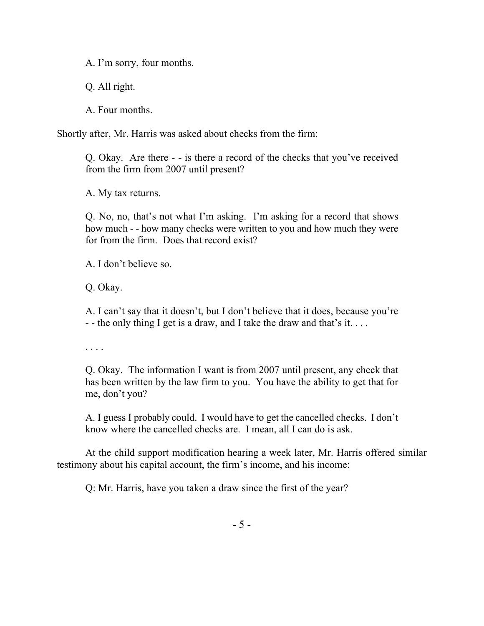A. I'm sorry, four months.

Q. All right.

A. Four months.

Shortly after, Mr. Harris was asked about checks from the firm:

Q. Okay. Are there - - is there a record of the checks that you've received from the firm from 2007 until present?

A. My tax returns.

Q. No, no, that's not what I'm asking. I'm asking for a record that shows how much - - how many checks were written to you and how much they were for from the firm. Does that record exist?

A. I don't believe so.

Q. Okay.

A. I can't say that it doesn't, but I don't believe that it does, because you're - - the only thing I get is a draw, and I take the draw and that's it....

. . . .

Q. Okay. The information I want is from 2007 until present, any check that has been written by the law firm to you. You have the ability to get that for me, don't you?

A. I guess I probably could. I would have to get the cancelled checks. I don't know where the cancelled checks are. I mean, all I can do is ask.

At the child support modification hearing a week later, Mr. Harris offered similar testimony about his capital account, the firm's income, and his income:

Q: Mr. Harris, have you taken a draw since the first of the year?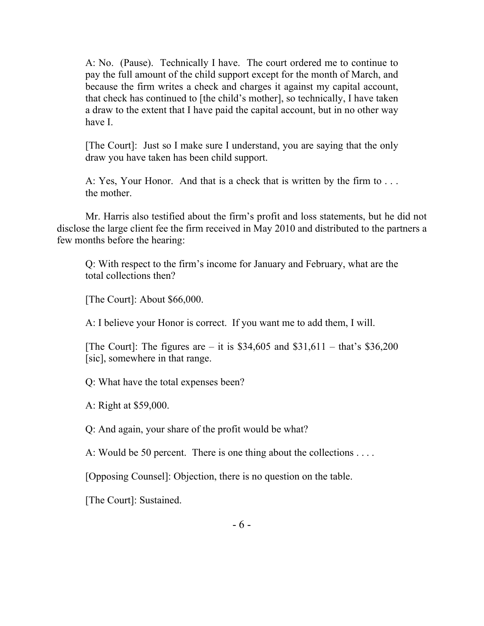A: No. (Pause). Technically I have. The court ordered me to continue to pay the full amount of the child support except for the month of March, and because the firm writes a check and charges it against my capital account, that check has continued to [the child's mother], so technically, I have taken a draw to the extent that I have paid the capital account, but in no other way have I.

[The Court]: Just so I make sure I understand, you are saying that the only draw you have taken has been child support.

A: Yes, Your Honor. And that is a check that is written by the firm to . . . the mother.

Mr. Harris also testified about the firm's profit and loss statements, but he did not disclose the large client fee the firm received in May 2010 and distributed to the partners a few months before the hearing:

Q: With respect to the firm's income for January and February, what are the total collections then?

[The Court]: About \$66,000.

A: I believe your Honor is correct. If you want me to add them, I will.

[The Court]: The figures are – it is  $$34,605$  and  $$31,611$  – that's  $$36,200$ [sic], somewhere in that range.

Q: What have the total expenses been?

A: Right at \$59,000.

Q: And again, your share of the profit would be what?

A: Would be 50 percent. There is one thing about the collections . . . .

[Opposing Counsel]: Objection, there is no question on the table.

[The Court]: Sustained.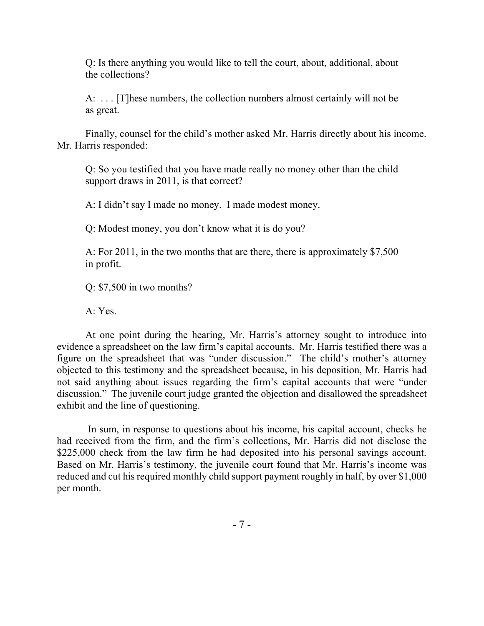Q: Is there anything you would like to tell the court, about, additional, about the collections?

A: . . . [T]hese numbers, the collection numbers almost certainly will not be as great.

Finally, counsel for the child's mother asked Mr. Harris directly about his income. Mr. Harris responded:

Q: So you testified that you have made really no money other than the child support draws in 2011, is that correct?

A: I didn't say I made no money. I made modest money.

Q: Modest money, you don't know what it is do you?

A: For 2011, in the two months that are there, there is approximately \$7,500 in profit.

Q: \$7,500 in two months?

A: Yes.

At one point during the hearing, Mr. Harris's attorney sought to introduce into evidence a spreadsheet on the law firm's capital accounts. Mr. Harris testified there was a figure on the spreadsheet that was "under discussion." The child's mother's attorney objected to this testimony and the spreadsheet because, in his deposition, Mr. Harris had not said anything about issues regarding the firm's capital accounts that were "under discussion." The juvenile court judge granted the objection and disallowed the spreadsheet exhibit and the line of questioning.

In sum, in response to questions about his income, his capital account, checks he had received from the firm, and the firm's collections, Mr. Harris did not disclose the \$225,000 check from the law firm he had deposited into his personal savings account. Based on Mr. Harris's testimony, the juvenile court found that Mr. Harris's income was reduced and cut his required monthly child support payment roughly in half, by over \$1,000 per month.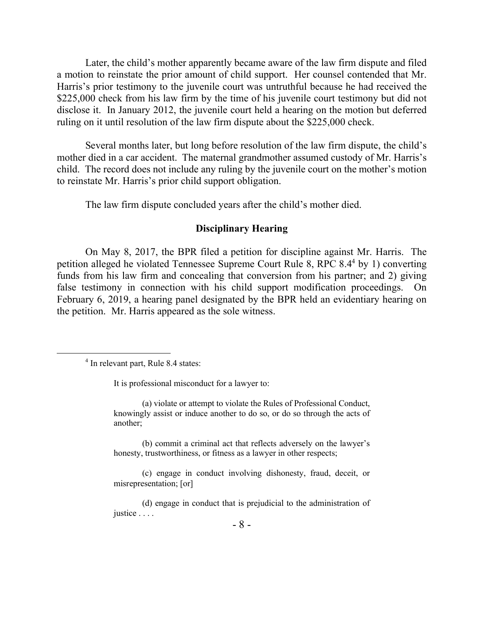Later, the child's mother apparently became aware of the law firm dispute and filed a motion to reinstate the prior amount of child support. Her counsel contended that Mr. Harris's prior testimony to the juvenile court was untruthful because he had received the \$225,000 check from his law firm by the time of his juvenile court testimony but did not disclose it. In January 2012, the juvenile court held a hearing on the motion but deferred ruling on it until resolution of the law firm dispute about the \$225,000 check.

Several months later, but long before resolution of the law firm dispute, the child's mother died in a car accident. The maternal grandmother assumed custody of Mr. Harris's child. The record does not include any ruling by the juvenile court on the mother's motion to reinstate Mr. Harris's prior child support obligation.

The law firm dispute concluded years after the child's mother died.

### **Disciplinary Hearing**

On May 8, 2017, the BPR filed a petition for discipline against Mr. Harris. The petition alleged he violated Tennessee Supreme Court Rule 8, RPC 8.4<sup>4</sup> by 1) converting funds from his law firm and concealing that conversion from his partner; and 2) giving false testimony in connection with his child support modification proceedings. On February 6, 2019, a hearing panel designated by the BPR held an evidentiary hearing on the petition. Mr. Harris appeared as the sole witness.

 $\overline{a}$ 

It is professional misconduct for a lawyer to:

(a) violate or attempt to violate the Rules of Professional Conduct, knowingly assist or induce another to do so, or do so through the acts of another;

(b) commit a criminal act that reflects adversely on the lawyer's honesty, trustworthiness, or fitness as a lawyer in other respects;

(c) engage in conduct involving dishonesty, fraud, deceit, or misrepresentation; [or]

(d) engage in conduct that is prejudicial to the administration of justice . . . .

<sup>&</sup>lt;sup>4</sup> In relevant part, Rule 8.4 states: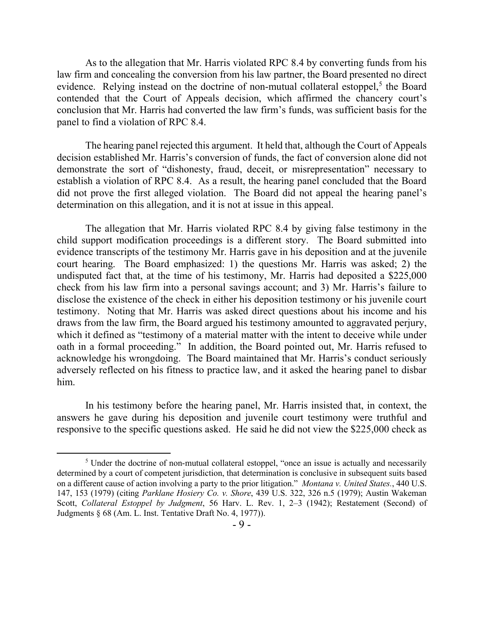As to the allegation that Mr. Harris violated RPC 8.4 by converting funds from his law firm and concealing the conversion from his law partner, the Board presented no direct evidence. Relying instead on the doctrine of non-mutual collateral estoppel,<sup>5</sup> the Board contended that the Court of Appeals decision, which affirmed the chancery court's conclusion that Mr. Harris had converted the law firm's funds, was sufficient basis for the panel to find a violation of RPC 8.4.

The hearing panel rejected this argument. It held that, although the Court of Appeals decision established Mr. Harris's conversion of funds, the fact of conversion alone did not demonstrate the sort of "dishonesty, fraud, deceit, or misrepresentation" necessary to establish a violation of RPC 8.4. As a result, the hearing panel concluded that the Board did not prove the first alleged violation. The Board did not appeal the hearing panel's determination on this allegation, and it is not at issue in this appeal.

The allegation that Mr. Harris violated RPC 8.4 by giving false testimony in the child support modification proceedings is a different story. The Board submitted into evidence transcripts of the testimony Mr. Harris gave in his deposition and at the juvenile court hearing. The Board emphasized: 1) the questions Mr. Harris was asked; 2) the undisputed fact that, at the time of his testimony, Mr. Harris had deposited a \$225,000 check from his law firm into a personal savings account; and 3) Mr. Harris's failure to disclose the existence of the check in either his deposition testimony or his juvenile court testimony. Noting that Mr. Harris was asked direct questions about his income and his draws from the law firm, the Board argued his testimony amounted to aggravated perjury, which it defined as "testimony of a material matter with the intent to deceive while under oath in a formal proceeding." In addition, the Board pointed out, Mr. Harris refused to acknowledge his wrongdoing. The Board maintained that Mr. Harris's conduct seriously adversely reflected on his fitness to practice law, and it asked the hearing panel to disbar him.

In his testimony before the hearing panel, Mr. Harris insisted that, in context, the answers he gave during his deposition and juvenile court testimony were truthful and responsive to the specific questions asked. He said he did not view the \$225,000 check as

<sup>&</sup>lt;sup>5</sup> Under the doctrine of non-mutual collateral estoppel, "once an issue is actually and necessarily determined by a court of competent jurisdiction, that determination is conclusive in subsequent suits based on a different cause of action involving a party to the prior litigation." *Montana v. United States.*, 440 U.S. 147, 153 (1979) (citing *Parklane Hosiery Co. v. Shore*, 439 U.S. 322, 326 n.5 (1979); Austin Wakeman Scott, *Collateral Estoppel by Judgment*, 56 Harv. L. Rev. 1, 2–3 (1942); Restatement (Second) of Judgments § 68 (Am. L. Inst. Tentative Draft No. 4, 1977)).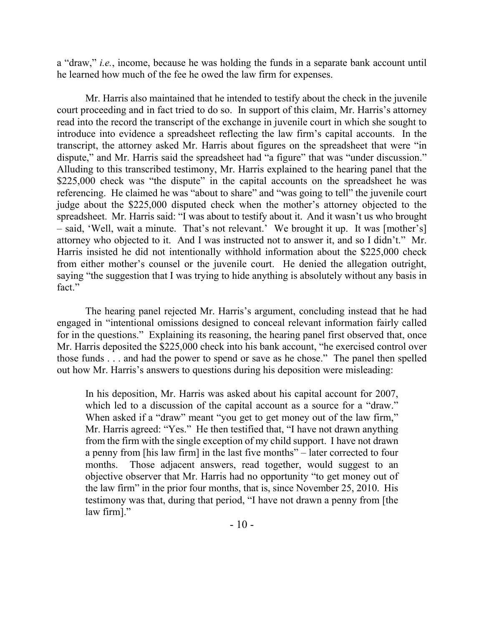a "draw," *i.e.*, income, because he was holding the funds in a separate bank account until he learned how much of the fee he owed the law firm for expenses.

Mr. Harris also maintained that he intended to testify about the check in the juvenile court proceeding and in fact tried to do so. In support of this claim, Mr. Harris's attorney read into the record the transcript of the exchange in juvenile court in which she sought to introduce into evidence a spreadsheet reflecting the law firm's capital accounts. In the transcript, the attorney asked Mr. Harris about figures on the spreadsheet that were "in dispute," and Mr. Harris said the spreadsheet had "a figure" that was "under discussion." Alluding to this transcribed testimony, Mr. Harris explained to the hearing panel that the \$225,000 check was "the dispute" in the capital accounts on the spreadsheet he was referencing. He claimed he was "about to share" and "was going to tell" the juvenile court judge about the \$225,000 disputed check when the mother's attorney objected to the spreadsheet. Mr. Harris said: "I was about to testify about it. And it wasn't us who brought – said, 'Well, wait a minute. That's not relevant.' We brought it up. It was [mother's] attorney who objected to it. And I was instructed not to answer it, and so I didn't." Mr. Harris insisted he did not intentionally withhold information about the \$225,000 check from either mother's counsel or the juvenile court. He denied the allegation outright, saying "the suggestion that I was trying to hide anything is absolutely without any basis in fact."

The hearing panel rejected Mr. Harris's argument, concluding instead that he had engaged in "intentional omissions designed to conceal relevant information fairly called for in the questions." Explaining its reasoning, the hearing panel first observed that, once Mr. Harris deposited the \$225,000 check into his bank account, "he exercised control over those funds . . . and had the power to spend or save as he chose." The panel then spelled out how Mr. Harris's answers to questions during his deposition were misleading:

In his deposition, Mr. Harris was asked about his capital account for 2007, which led to a discussion of the capital account as a source for a "draw." When asked if a "draw" meant "you get to get money out of the law firm," Mr. Harris agreed: "Yes." He then testified that, "I have not drawn anything from the firm with the single exception of my child support. I have not drawn a penny from [his law firm] in the last five months" – later corrected to four months. Those adjacent answers, read together, would suggest to an objective observer that Mr. Harris had no opportunity "to get money out of the law firm" in the prior four months, that is, since November 25, 2010. His testimony was that, during that period, "I have not drawn a penny from [the law firm]."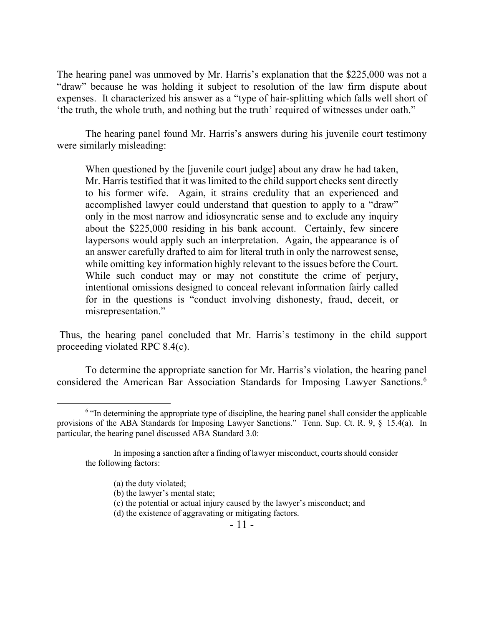The hearing panel was unmoved by Mr. Harris's explanation that the \$225,000 was not a "draw" because he was holding it subject to resolution of the law firm dispute about expenses. It characterized his answer as a "type of hair-splitting which falls well short of 'the truth, the whole truth, and nothing but the truth' required of witnesses under oath."

The hearing panel found Mr. Harris's answers during his juvenile court testimony were similarly misleading:

When questioned by the [juvenile court judge] about any draw he had taken, Mr. Harris testified that it was limited to the child support checks sent directly to his former wife. Again, it strains credulity that an experienced and accomplished lawyer could understand that question to apply to a "draw" only in the most narrow and idiosyncratic sense and to exclude any inquiry about the \$225,000 residing in his bank account. Certainly, few sincere laypersons would apply such an interpretation. Again, the appearance is of an answer carefully drafted to aim for literal truth in only the narrowest sense, while omitting key information highly relevant to the issues before the Court. While such conduct may or may not constitute the crime of perjury, intentional omissions designed to conceal relevant information fairly called for in the questions is "conduct involving dishonesty, fraud, deceit, or misrepresentation."

Thus, the hearing panel concluded that Mr. Harris's testimony in the child support proceeding violated RPC 8.4(c).

To determine the appropriate sanction for Mr. Harris's violation, the hearing panel considered the American Bar Association Standards for Imposing Lawyer Sanctions.<sup>6</sup>

 $\overline{a}$ 

(d) the existence of aggravating or mitigating factors.

 $6$  "In determining the appropriate type of discipline, the hearing panel shall consider the applicable provisions of the ABA Standards for Imposing Lawyer Sanctions." Tenn. Sup. Ct. R. 9, § 15.4(a). In particular, the hearing panel discussed ABA Standard 3.0:

In imposing a sanction after a finding of lawyer misconduct, courts should consider the following factors:

<sup>(</sup>a) the duty violated;

<sup>(</sup>b) the lawyer's mental state;

<sup>(</sup>c) the potential or actual injury caused by the lawyer's misconduct; and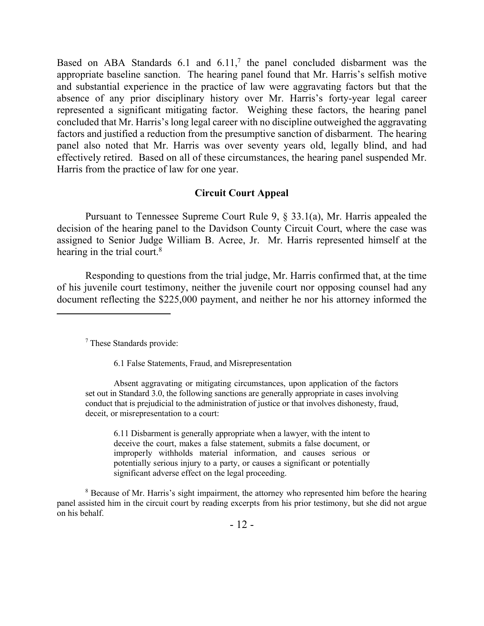Based on ABA Standards 6.1 and 6.11, 7 the panel concluded disbarment was the appropriate baseline sanction. The hearing panel found that Mr. Harris's selfish motive and substantial experience in the practice of law were aggravating factors but that the absence of any prior disciplinary history over Mr. Harris's forty-year legal career represented a significant mitigating factor. Weighing these factors, the hearing panel concluded that Mr. Harris's long legal career with no discipline outweighed the aggravating factors and justified a reduction from the presumptive sanction of disbarment. The hearing panel also noted that Mr. Harris was over seventy years old, legally blind, and had effectively retired. Based on all of these circumstances, the hearing panel suspended Mr. Harris from the practice of law for one year.

### **Circuit Court Appeal**

Pursuant to Tennessee Supreme Court Rule 9, § 33.1(a), Mr. Harris appealed the decision of the hearing panel to the Davidson County Circuit Court, where the case was assigned to Senior Judge William B. Acree, Jr. Mr. Harris represented himself at the hearing in the trial court.<sup>8</sup>

Responding to questions from the trial judge, Mr. Harris confirmed that, at the time of his juvenile court testimony, neither the juvenile court nor opposing counsel had any document reflecting the \$225,000 payment, and neither he nor his attorney informed the

<sup>7</sup> These Standards provide:

 $\overline{a}$ 

6.1 False Statements, Fraud, and Misrepresentation

Absent aggravating or mitigating circumstances, upon application of the factors set out in Standard 3.0, the following sanctions are generally appropriate in cases involving conduct that is prejudicial to the administration of justice or that involves dishonesty, fraud, deceit, or misrepresentation to a court:

6.11 Disbarment is generally appropriate when a lawyer, with the intent to deceive the court, makes a false statement, submits a false document, or improperly withholds material information, and causes serious or potentially serious injury to a party, or causes a significant or potentially significant adverse effect on the legal proceeding.

<sup>8</sup> Because of Mr. Harris's sight impairment, the attorney who represented him before the hearing panel assisted him in the circuit court by reading excerpts from his prior testimony, but she did not argue on his behalf.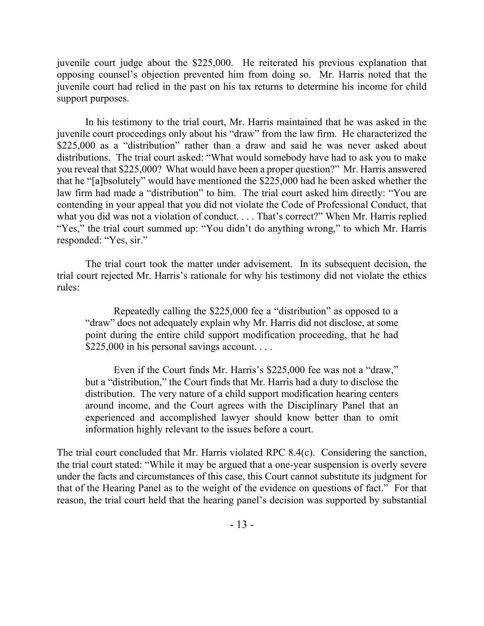juvenile court judge about the \$225,000. He reiterated his previous explanation that opposing counsel's objection prevented him from doing so. Mr. Harris noted that the juvenile court had relied in the past on his tax returns to determine his income for child support purposes.

In his testimony to the trial court, Mr. Harris maintained that he was asked in the juvenile court proceedings only about his "draw" from the law firm. He characterized the \$225,000 as a "distribution" rather than a draw and said he was never asked about distributions. The trial court asked: "What would somebody have had to ask you to make you reveal that \$225,000? What would have been a proper question?" Mr. Harris answered that he "[a]bsolutely" would have mentioned the \$225,000 had he been asked whether the law firm had made a "distribution" to him. The trial court asked him directly: "You are contending in your appeal that you did not violate the Code of Professional Conduct, that what you did was not a violation of conduct. . . . That's correct?" When Mr. Harris replied "Yes," the trial court summed up: "You didn't do anything wrong," to which Mr. Harris responded: "Yes, sir."

The trial court took the matter under advisement. In its subsequent decision, the trial court rejected Mr. Harris's rationale for why his testimony did not violate the ethics rules:

Repeatedly calling the \$225,000 fee a "distribution" as opposed to a "draw" does not adequately explain why Mr. Harris did not disclose, at some point during the entire child support modification proceeding, that he had \$225,000 in his personal savings account....

Even if the Court finds Mr. Harris's \$225,000 fee was not a "draw," but a "distribution," the Court finds that Mr. Harris had a duty to disclose the distribution. The very nature of a child support modification hearing centers around income, and the Court agrees with the Disciplinary Panel that an experienced and accomplished lawyer should know better than to omit information highly relevant to the issues before a court.

The trial court concluded that Mr. Harris violated RPC 8.4(c). Considering the sanction, the trial court stated: "While it may be argued that a one-year suspension is overly severe under the facts and circumstances of this case, this Court cannot substitute its judgment for that of the Hearing Panel as to the weight of the evidence on questions of fact." For that reason, the trial court held that the hearing panel's decision was supported by substantial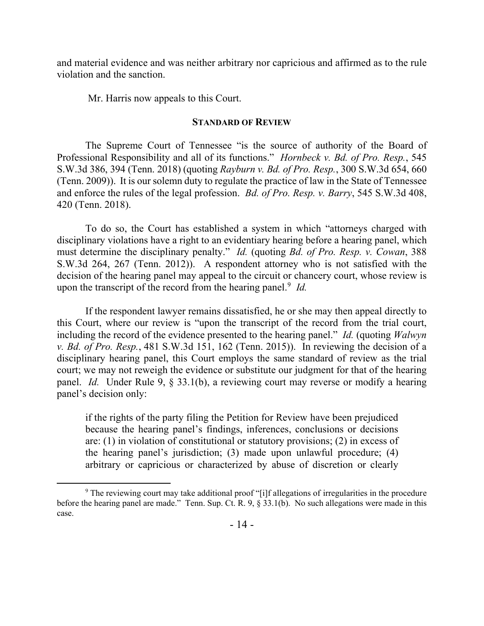and material evidence and was neither arbitrary nor capricious and affirmed as to the rule violation and the sanction.

Mr. Harris now appeals to this Court.

#### **STANDARD OF REVIEW**

The Supreme Court of Tennessee "is the source of authority of the Board of Professional Responsibility and all of its functions." *Hornbeck v. Bd. of Pro. Resp.*, 545 S.W.3d 386, 394 (Tenn. 2018) (quoting *Rayburn v. Bd. of Pro. Resp.*, 300 S.W.3d 654, 660 (Tenn. 2009)). It is our solemn duty to regulate the practice of law in the State of Tennessee and enforce the rules of the legal profession. *Bd. of Pro. Resp. v. Barry*, 545 S.W.3d 408, 420 (Tenn. 2018).

To do so, the Court has established a system in which "attorneys charged with disciplinary violations have a right to an evidentiary hearing before a hearing panel, which must determine the disciplinary penalty." *Id.* (quoting *Bd. of Pro. Resp. v. Cowan*, 388 S.W.3d 264, 267 (Tenn. 2012)). A respondent attorney who is not satisfied with the decision of the hearing panel may appeal to the circuit or chancery court, whose review is upon the transcript of the record from the hearing panel.<sup>9</sup> Id.

If the respondent lawyer remains dissatisfied, he or she may then appeal directly to this Court, where our review is "upon the transcript of the record from the trial court, including the record of the evidence presented to the hearing panel." *Id.* (quoting *Walwyn v. Bd. of Pro. Resp.*, 481 S.W.3d 151, 162 (Tenn. 2015)). In reviewing the decision of a disciplinary hearing panel, this Court employs the same standard of review as the trial court; we may not reweigh the evidence or substitute our judgment for that of the hearing panel. *Id.* Under Rule 9, § 33.1(b), a reviewing court may reverse or modify a hearing panel's decision only:

if the rights of the party filing the Petition for Review have been prejudiced because the hearing panel's findings, inferences, conclusions or decisions are: (1) in violation of constitutional or statutory provisions; (2) in excess of the hearing panel's jurisdiction; (3) made upon unlawful procedure; (4) arbitrary or capricious or characterized by abuse of discretion or clearly

<sup>&</sup>lt;sup>9</sup> The reviewing court may take additional proof "[i]f allegations of irregularities in the procedure before the hearing panel are made." Tenn. Sup. Ct. R. 9, § 33.1(b). No such allegations were made in this case.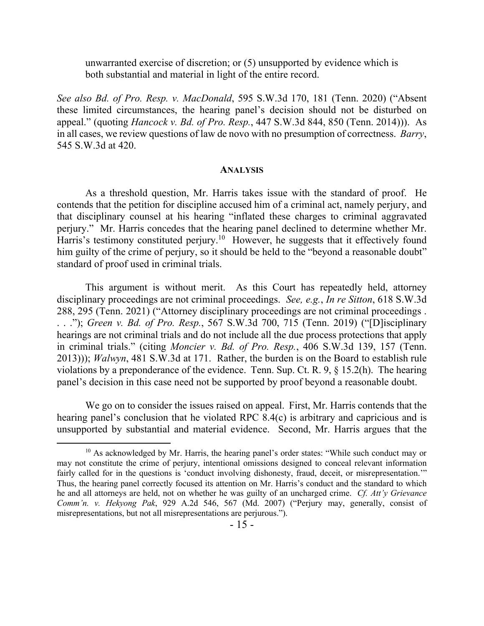unwarranted exercise of discretion; or (5) unsupported by evidence which is both substantial and material in light of the entire record.

*See also Bd. of Pro. Resp. v. MacDonald*, 595 S.W.3d 170, 181 (Tenn. 2020) ("Absent these limited circumstances, the hearing panel's decision should not be disturbed on appeal." (quoting *Hancock v. Bd. of Pro. Resp.*, 447 S.W.3d 844, 850 (Tenn. 2014))). As in all cases, we review questions of law de novo with no presumption of correctness. *Barry*, 545 S.W.3d at 420.

#### **ANALYSIS**

As a threshold question, Mr. Harris takes issue with the standard of proof. He contends that the petition for discipline accused him of a criminal act, namely perjury, and that disciplinary counsel at his hearing "inflated these charges to criminal aggravated perjury." Mr. Harris concedes that the hearing panel declined to determine whether Mr. Harris's testimony constituted perjury.<sup>10</sup> However, he suggests that it effectively found him guilty of the crime of perjury, so it should be held to the "beyond a reasonable doubt" standard of proof used in criminal trials.

This argument is without merit. As this Court has repeatedly held, attorney disciplinary proceedings are not criminal proceedings. *See, e.g.*, *In re Sitton*, 618 S.W.3d 288, 295 (Tenn. 2021) ("Attorney disciplinary proceedings are not criminal proceedings . . . ."); *Green v. Bd. of Pro. Resp.*, 567 S.W.3d 700, 715 (Tenn. 2019) ("[D]isciplinary hearings are not criminal trials and do not include all the due process protections that apply in criminal trials." (citing *Moncier v. Bd. of Pro. Resp.*, 406 S.W.3d 139, 157 (Tenn. 2013))); *Walwyn*, 481 S.W.3d at 171. Rather, the burden is on the Board to establish rule violations by a preponderance of the evidence. Tenn. Sup. Ct. R. 9, § 15.2(h). The hearing panel's decision in this case need not be supported by proof beyond a reasonable doubt.

We go on to consider the issues raised on appeal. First, Mr. Harris contends that the hearing panel's conclusion that he violated RPC 8.4(c) is arbitrary and capricious and is unsupported by substantial and material evidence. Second, Mr. Harris argues that the

 $10$  As acknowledged by Mr. Harris, the hearing panel's order states: "While such conduct may or may not constitute the crime of perjury, intentional omissions designed to conceal relevant information fairly called for in the questions is 'conduct involving dishonesty, fraud, deceit, or misrepresentation.'" Thus, the hearing panel correctly focused its attention on Mr. Harris's conduct and the standard to which he and all attorneys are held, not on whether he was guilty of an uncharged crime. *Cf. Att'y Grievance Comm'n. v. Hekyong Pak*, 929 A.2d 546, 567 (Md. 2007) ("Perjury may, generally, consist of misrepresentations, but not all misrepresentations are perjurous.").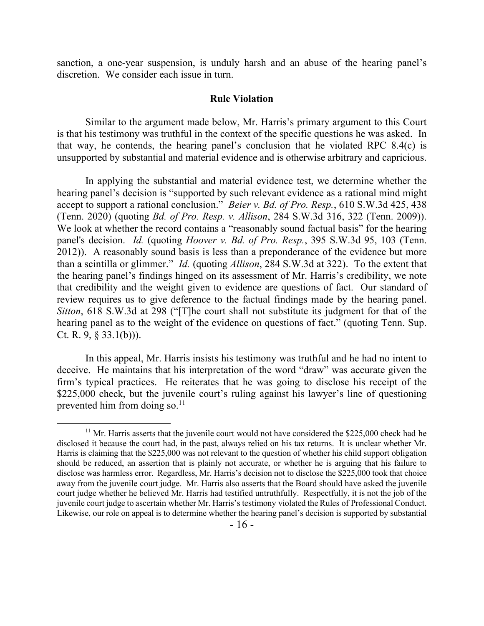sanction, a one-year suspension, is unduly harsh and an abuse of the hearing panel's discretion. We consider each issue in turn.

#### **Rule Violation**

Similar to the argument made below, Mr. Harris's primary argument to this Court is that his testimony was truthful in the context of the specific questions he was asked. In that way, he contends, the hearing panel's conclusion that he violated RPC 8.4(c) is unsupported by substantial and material evidence and is otherwise arbitrary and capricious.

In applying the substantial and material evidence test, we determine whether the hearing panel's decision is "supported by such relevant evidence as a rational mind might accept to support a rational conclusion." *Beier v. Bd. of Pro. Resp.*, 610 S.W.3d 425, 438 (Tenn. 2020) (quoting *Bd. of Pro. Resp. v. Allison*, 284 S.W.3d 316, 322 (Tenn. 2009)). We look at whether the record contains a "reasonably sound factual basis" for the hearing panel's decision. *Id.* (quoting *Hoover v. Bd. of Pro. Resp.*, 395 S.W.3d 95, 103 (Tenn. 2012)). A reasonably sound basis is less than a preponderance of the evidence but more than a scintilla or glimmer." *Id.* (quoting *Allison*, 284 S.W.3d at 322). To the extent that the hearing panel's findings hinged on its assessment of Mr. Harris's credibility, we note that credibility and the weight given to evidence are questions of fact. Our standard of review requires us to give deference to the factual findings made by the hearing panel. *Sitton*, 618 S.W.3d at 298 ("[T]he court shall not substitute its judgment for that of the hearing panel as to the weight of the evidence on questions of fact." (quoting Tenn. Sup. Ct. R.  $9, \S$  33.1(b))).

In this appeal, Mr. Harris insists his testimony was truthful and he had no intent to deceive. He maintains that his interpretation of the word "draw" was accurate given the firm's typical practices. He reiterates that he was going to disclose his receipt of the \$225,000 check, but the juvenile court's ruling against his lawyer's line of questioning prevented him from doing so. $11$ 

 $11$  Mr. Harris asserts that the juvenile court would not have considered the \$225,000 check had he disclosed it because the court had, in the past, always relied on his tax returns. It is unclear whether Mr. Harris is claiming that the \$225,000 was not relevant to the question of whether his child support obligation should be reduced, an assertion that is plainly not accurate, or whether he is arguing that his failure to disclose was harmless error. Regardless, Mr. Harris's decision not to disclose the \$225,000 took that choice away from the juvenile court judge. Mr. Harris also asserts that the Board should have asked the juvenile court judge whether he believed Mr. Harris had testified untruthfully. Respectfully, it is not the job of the juvenile court judge to ascertain whether Mr. Harris's testimony violated the Rules of Professional Conduct. Likewise, our role on appeal is to determine whether the hearing panel's decision is supported by substantial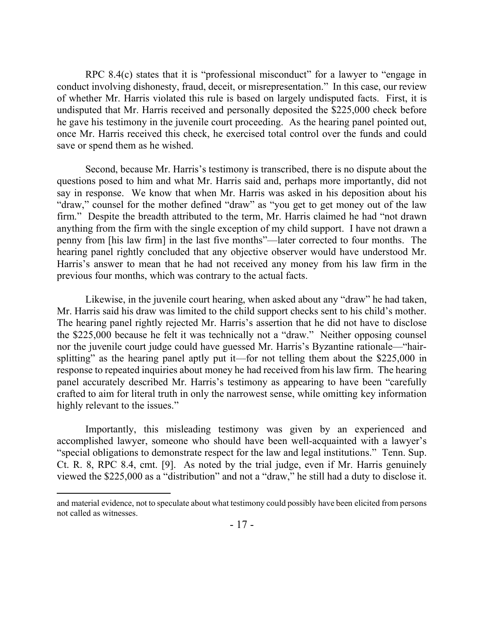RPC 8.4(c) states that it is "professional misconduct" for a lawyer to "engage in conduct involving dishonesty, fraud, deceit, or misrepresentation." In this case, our review of whether Mr. Harris violated this rule is based on largely undisputed facts. First, it is undisputed that Mr. Harris received and personally deposited the \$225,000 check before he gave his testimony in the juvenile court proceeding. As the hearing panel pointed out, once Mr. Harris received this check, he exercised total control over the funds and could save or spend them as he wished.

Second, because Mr. Harris's testimony is transcribed, there is no dispute about the questions posed to him and what Mr. Harris said and, perhaps more importantly, did not say in response. We know that when Mr. Harris was asked in his deposition about his "draw," counsel for the mother defined "draw" as "you get to get money out of the law firm." Despite the breadth attributed to the term, Mr. Harris claimed he had "not drawn anything from the firm with the single exception of my child support. I have not drawn a penny from [his law firm] in the last five months"—later corrected to four months. The hearing panel rightly concluded that any objective observer would have understood Mr. Harris's answer to mean that he had not received any money from his law firm in the previous four months, which was contrary to the actual facts.

Likewise, in the juvenile court hearing, when asked about any "draw" he had taken, Mr. Harris said his draw was limited to the child support checks sent to his child's mother. The hearing panel rightly rejected Mr. Harris's assertion that he did not have to disclose the \$225,000 because he felt it was technically not a "draw." Neither opposing counsel nor the juvenile court judge could have guessed Mr. Harris's Byzantine rationale—"hairsplitting" as the hearing panel aptly put it—for not telling them about the \$225,000 in response to repeated inquiries about money he had received from his law firm. The hearing panel accurately described Mr. Harris's testimony as appearing to have been "carefully crafted to aim for literal truth in only the narrowest sense, while omitting key information highly relevant to the issues."

Importantly, this misleading testimony was given by an experienced and accomplished lawyer, someone who should have been well-acquainted with a lawyer's "special obligations to demonstrate respect for the law and legal institutions." Tenn. Sup. Ct. R. 8, RPC 8.4, cmt. [9]. As noted by the trial judge, even if Mr. Harris genuinely viewed the \$225,000 as a "distribution" and not a "draw," he still had a duty to disclose it.

and material evidence, not to speculate about what testimony could possibly have been elicited from persons not called as witnesses.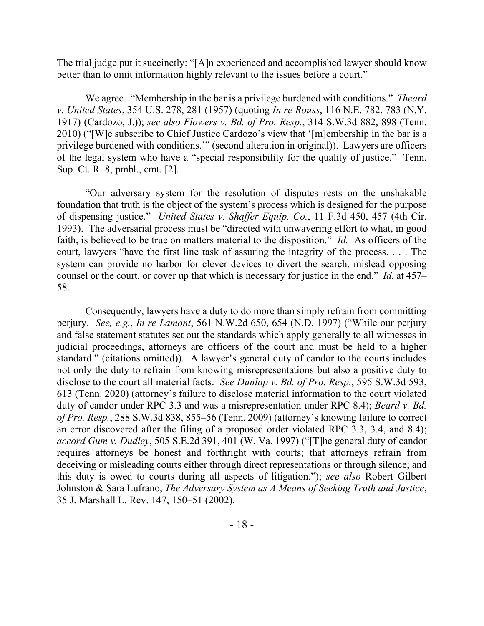The trial judge put it succinctly: "[A]n experienced and accomplished lawyer should know better than to omit information highly relevant to the issues before a court."

We agree. "Membership in the bar is a privilege burdened with conditions." *Theard v. United States*, 354 U.S. 278, 281 (1957) (quoting *In re Rouss*, 116 N.E. 782, 783 (N.Y. 1917) (Cardozo, J.)); *see also Flowers v. Bd. of Pro. Resp.*, 314 S.W.3d 882, 898 (Tenn. 2010) ("[W]e subscribe to Chief Justice Cardozo's view that '[m]embership in the bar is a privilege burdened with conditions.'" (second alteration in original)). Lawyers are officers of the legal system who have a "special responsibility for the quality of justice." Tenn. Sup. Ct. R. 8, pmbl., cmt. [2].

"Our adversary system for the resolution of disputes rests on the unshakable foundation that truth is the object of the system's process which is designed for the purpose of dispensing justice." *United States v. Shaffer Equip. Co.*, 11 F.3d 450, 457 (4th Cir. 1993). The adversarial process must be "directed with unwavering effort to what, in good faith, is believed to be true on matters material to the disposition." *Id.* As officers of the court, lawyers "have the first line task of assuring the integrity of the process. . . . The system can provide no harbor for clever devices to divert the search, mislead opposing counsel or the court, or cover up that which is necessary for justice in the end." *Id.* at 457– 58.

Consequently, lawyers have a duty to do more than simply refrain from committing perjury. *See, e.g.*, *In re Lamont*, 561 N.W.2d 650, 654 (N.D. 1997) ("While our perjury and false statement statutes set out the standards which apply generally to all witnesses in judicial proceedings, attorneys are officers of the court and must be held to a higher standard." (citations omitted)). A lawyer's general duty of candor to the courts includes not only the duty to refrain from knowing misrepresentations but also a positive duty to disclose to the court all material facts. *See Dunlap v. Bd. of Pro. Resp.*, 595 S.W.3d 593, 613 (Tenn. 2020) (attorney's failure to disclose material information to the court violated duty of candor under RPC 3.3 and was a misrepresentation under RPC 8.4); *Beard v. Bd. of Pro. Resp.*, 288 S.W.3d 838, 855–56 (Tenn. 2009) (attorney's knowing failure to correct an error discovered after the filing of a proposed order violated RPC 3.3, 3.4, and 8.4); *accord Gum v. Dudley*, 505 S.E.2d 391, 401 (W. Va. 1997) ("[T]he general duty of candor requires attorneys be honest and forthright with courts; that attorneys refrain from deceiving or misleading courts either through direct representations or through silence; and this duty is owed to courts during all aspects of litigation."); *see also* Robert Gilbert Johnston & Sara Lufrano, *The Adversary System as A Means of Seeking Truth and Justice*, 35 J. Marshall L. Rev. 147, 150–51 (2002).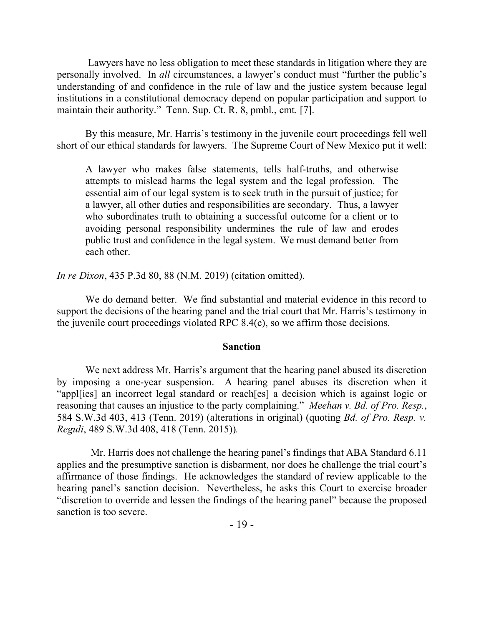Lawyers have no less obligation to meet these standards in litigation where they are personally involved. In *all* circumstances, a lawyer's conduct must "further the public's understanding of and confidence in the rule of law and the justice system because legal institutions in a constitutional democracy depend on popular participation and support to maintain their authority." Tenn. Sup. Ct. R. 8, pmbl., cmt. [7].

By this measure, Mr. Harris's testimony in the juvenile court proceedings fell well short of our ethical standards for lawyers. The Supreme Court of New Mexico put it well:

A lawyer who makes false statements, tells half-truths, and otherwise attempts to mislead harms the legal system and the legal profession. The essential aim of our legal system is to seek truth in the pursuit of justice; for a lawyer, all other duties and responsibilities are secondary. Thus, a lawyer who subordinates truth to obtaining a successful outcome for a client or to avoiding personal responsibility undermines the rule of law and erodes public trust and confidence in the legal system. We must demand better from each other.

*In re Dixon*, 435 P.3d 80, 88 (N.M. 2019) (citation omitted).

We do demand better. We find substantial and material evidence in this record to support the decisions of the hearing panel and the trial court that Mr. Harris's testimony in the juvenile court proceedings violated RPC 8.4(c), so we affirm those decisions.

#### **Sanction**

We next address Mr. Harris's argument that the hearing panel abused its discretion by imposing a one-year suspension. A hearing panel abuses its discretion when it "appl[ies] an incorrect legal standard or reach[es] a decision which is against logic or reasoning that causes an injustice to the party complaining." *Meehan v. Bd. of Pro. Resp.*, 584 S.W.3d 403, 413 (Tenn. 2019) (alterations in original) (quoting *Bd. of Pro. Resp. v. Reguli*, 489 S.W.3d 408, 418 (Tenn. 2015))*.*

Mr. Harris does not challenge the hearing panel's findings that ABA Standard 6.11 applies and the presumptive sanction is disbarment, nor does he challenge the trial court's affirmance of those findings. He acknowledges the standard of review applicable to the hearing panel's sanction decision. Nevertheless, he asks this Court to exercise broader "discretion to override and lessen the findings of the hearing panel" because the proposed sanction is too severe.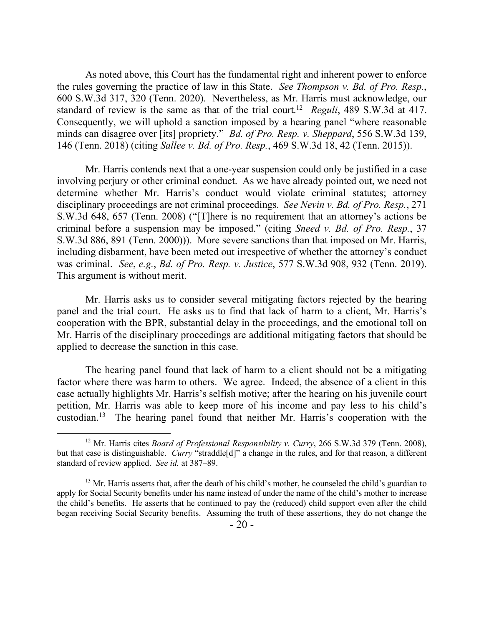As noted above, this Court has the fundamental right and inherent power to enforce the rules governing the practice of law in this State. *See Thompson v. Bd. of Pro. Resp.*, 600 S.W.3d 317, 320 (Tenn. 2020). Nevertheless, as Mr. Harris must acknowledge, our standard of review is the same as that of the trial court. <sup>12</sup> *Reguli*, 489 S.W.3d at 417. Consequently, we will uphold a sanction imposed by a hearing panel "where reasonable minds can disagree over [its] propriety." *Bd. of Pro. Resp. v. Sheppard*, 556 S.W.3d 139, 146 (Tenn. 2018) (citing *Sallee v. Bd. of Pro. Resp.*, 469 S.W.3d 18, 42 (Tenn. 2015)).

Mr. Harris contends next that a one-year suspension could only be justified in a case involving perjury or other criminal conduct. As we have already pointed out, we need not determine whether Mr. Harris's conduct would violate criminal statutes; attorney disciplinary proceedings are not criminal proceedings. *See Nevin v. Bd. of Pro. Resp.*, 271 S.W.3d 648, 657 (Tenn. 2008) ("[T]here is no requirement that an attorney's actions be criminal before a suspension may be imposed." (citing *Sneed v. Bd. of Pro. Resp.*, 37 S.W.3d 886, 891 (Tenn. 2000))). More severe sanctions than that imposed on Mr. Harris, including disbarment, have been meted out irrespective of whether the attorney's conduct was criminal. *See*, *e.g.*, *Bd. of Pro. Resp. v. Justice*, 577 S.W.3d 908, 932 (Tenn. 2019). This argument is without merit.

Mr. Harris asks us to consider several mitigating factors rejected by the hearing panel and the trial court. He asks us to find that lack of harm to a client, Mr. Harris's cooperation with the BPR, substantial delay in the proceedings, and the emotional toll on Mr. Harris of the disciplinary proceedings are additional mitigating factors that should be applied to decrease the sanction in this case.

The hearing panel found that lack of harm to a client should not be a mitigating factor where there was harm to others. We agree. Indeed, the absence of a client in this case actually highlights Mr. Harris's selfish motive; after the hearing on his juvenile court petition, Mr. Harris was able to keep more of his income and pay less to his child's custodian.<sup>13</sup> The hearing panel found that neither Mr. Harris's cooperation with the

<sup>&</sup>lt;sup>12</sup> Mr. Harris cites *Board of Professional Responsibility v. Curry*, 266 S.W.3d 379 (Tenn. 2008), but that case is distinguishable. *Curry* "straddle[d]" a change in the rules, and for that reason, a different standard of review applied. *See id.* at 387–89.

 $-20-$ <sup>13</sup> Mr. Harris asserts that, after the death of his child's mother, he counseled the child's guardian to apply for Social Security benefits under his name instead of under the name of the child's mother to increase the child's benefits. He asserts that he continued to pay the (reduced) child support even after the child began receiving Social Security benefits. Assuming the truth of these assertions, they do not change the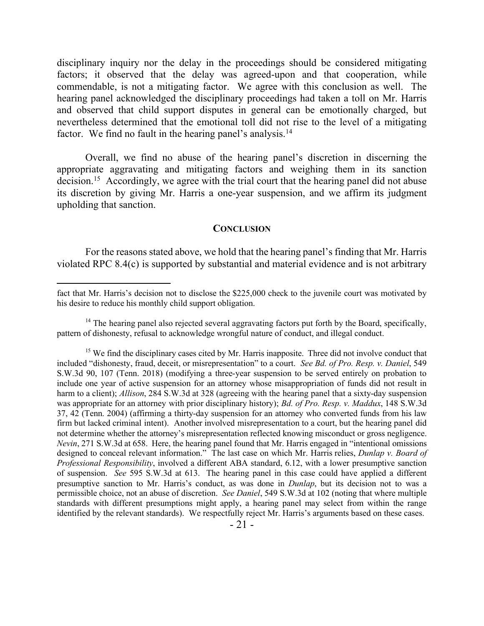disciplinary inquiry nor the delay in the proceedings should be considered mitigating factors; it observed that the delay was agreed-upon and that cooperation, while commendable, is not a mitigating factor. We agree with this conclusion as well. The hearing panel acknowledged the disciplinary proceedings had taken a toll on Mr. Harris and observed that child support disputes in general can be emotionally charged, but nevertheless determined that the emotional toll did not rise to the level of a mitigating factor. We find no fault in the hearing panel's analysis.<sup>14</sup>

Overall, we find no abuse of the hearing panel's discretion in discerning the appropriate aggravating and mitigating factors and weighing them in its sanction decision.<sup>15</sup> Accordingly, we agree with the trial court that the hearing panel did not abuse its discretion by giving Mr. Harris a one-year suspension, and we affirm its judgment upholding that sanction.

#### **CONCLUSION**

For the reasons stated above, we hold that the hearing panel's finding that Mr. Harris violated RPC 8.4(c) is supported by substantial and material evidence and is not arbitrary

fact that Mr. Harris's decision not to disclose the \$225,000 check to the juvenile court was motivated by his desire to reduce his monthly child support obligation.

 $14$  The hearing panel also rejected several aggravating factors put forth by the Board, specifically, pattern of dishonesty, refusal to acknowledge wrongful nature of conduct, and illegal conduct.

<sup>&</sup>lt;sup>15</sup> We find the disciplinary cases cited by Mr. Harris inapposite. Three did not involve conduct that included "dishonesty, fraud, deceit, or misrepresentation" to a court. *See Bd. of Pro. Resp. v. Daniel*, 549 S.W.3d 90, 107 (Tenn. 2018) (modifying a three-year suspension to be served entirely on probation to include one year of active suspension for an attorney whose misappropriation of funds did not result in harm to a client); *Allison*, 284 S.W.3d at 328 (agreeing with the hearing panel that a sixty-day suspension was appropriate for an attorney with prior disciplinary history); *Bd. of Pro. Resp. v. Maddux*, 148 S.W.3d 37, 42 (Tenn. 2004) (affirming a thirty-day suspension for an attorney who converted funds from his law firm but lacked criminal intent). Another involved misrepresentation to a court, but the hearing panel did not determine whether the attorney's misrepresentation reflected knowing misconduct or gross negligence. *Nevin*, 271 S.W.3d at 658. Here, the hearing panel found that Mr. Harris engaged in "intentional omissions designed to conceal relevant information." The last case on which Mr. Harris relies, *Dunlap v. Board of Professional Responsibility*, involved a different ABA standard, 6.12, with a lower presumptive sanction of suspension. *See* 595 S.W.3d at 613. The hearing panel in this case could have applied a different presumptive sanction to Mr. Harris's conduct, as was done in *Dunlap*, but its decision not to was a permissible choice, not an abuse of discretion. *See Daniel*, 549 S.W.3d at 102 (noting that where multiple standards with different presumptions might apply, a hearing panel may select from within the range identified by the relevant standards). We respectfully reject Mr. Harris's arguments based on these cases.